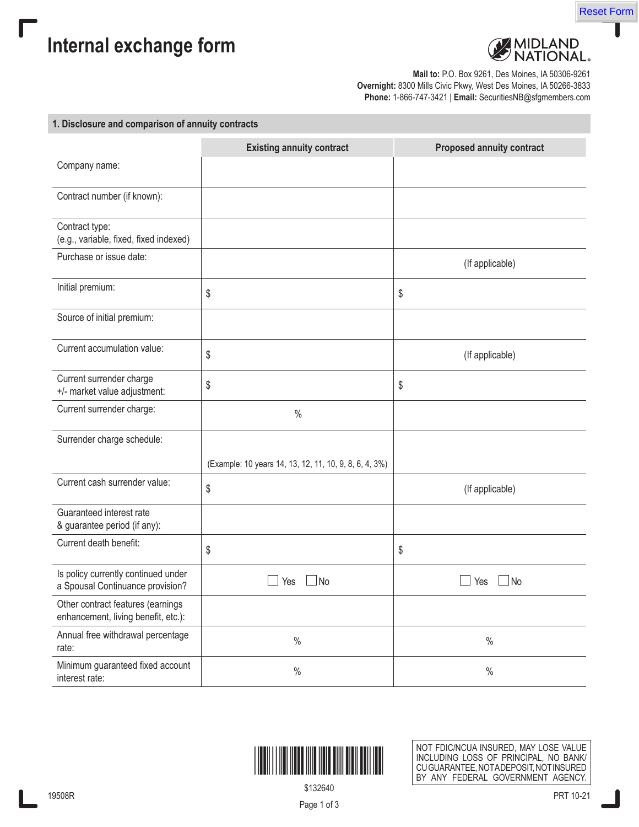

**Internal exchange form**

Г



**Mail to:** P.O. Box 9261, Des Moines, IA 50306-9261 **Overnight:** 8300 Mills Civic Pkwy, West Des Moines, IA 50266-3833 **Phone:** 1-866-747-3421 | **Email:** SecuritiesNB@sfgmembers.com

## **1. Disclosure and comparison of annuity contracts**

|                                                                          | <b>Existing annuity contract</b>                       | <b>Proposed annuity contract</b> |
|--------------------------------------------------------------------------|--------------------------------------------------------|----------------------------------|
| Company name:                                                            |                                                        |                                  |
| Contract number (if known):                                              |                                                        |                                  |
| Contract type:<br>(e.g., variable, fixed, fixed indexed)                 |                                                        |                                  |
| Purchase or issue date:                                                  |                                                        | (If applicable)                  |
| Initial premium:                                                         | \$                                                     | \$                               |
| Source of initial premium:                                               |                                                        |                                  |
| Current accumulation value:                                              | \$                                                     | (If applicable)                  |
| Current surrender charge<br>+/- market value adjustment:                 | \$                                                     | \$                               |
| Current surrender charge:                                                | $\%$                                                   |                                  |
| Surrender charge schedule:                                               |                                                        |                                  |
|                                                                          | (Example: 10 years 14, 13, 12, 11, 10, 9, 8, 6, 4, 3%) |                                  |
| Current cash surrender value:                                            | \$                                                     | (If applicable)                  |
| Guaranteed interest rate<br>& guarantee period (if any):                 |                                                        |                                  |
| Current death benefit:                                                   | \$                                                     | \$                               |
| Is policy currently continued under<br>a Spousal Continuance provision?  | <b>No</b><br>Yes                                       | $\mathsf{\mathsf{I}}$ No<br>Yes  |
| Other contract features (earnings<br>enhancement, living benefit, etc.): |                                                        |                                  |
| Annual free withdrawal percentage<br>rate:                               | $\%$                                                   | $\%$                             |
| Minimum guaranteed fixed account<br>interest rate:                       | $\%$                                                   | $\%$                             |



NOT FDIC/NCUA INSURED, MAY LOSE VALUE INCLUDING LOSS OF PRINCIPAL, NO BANK/ CU GUARANTEE, NOTA DEPOSIT, NOT INSURED BY ANY FEDERAL GOVERNMENT AGENCY.

\$132640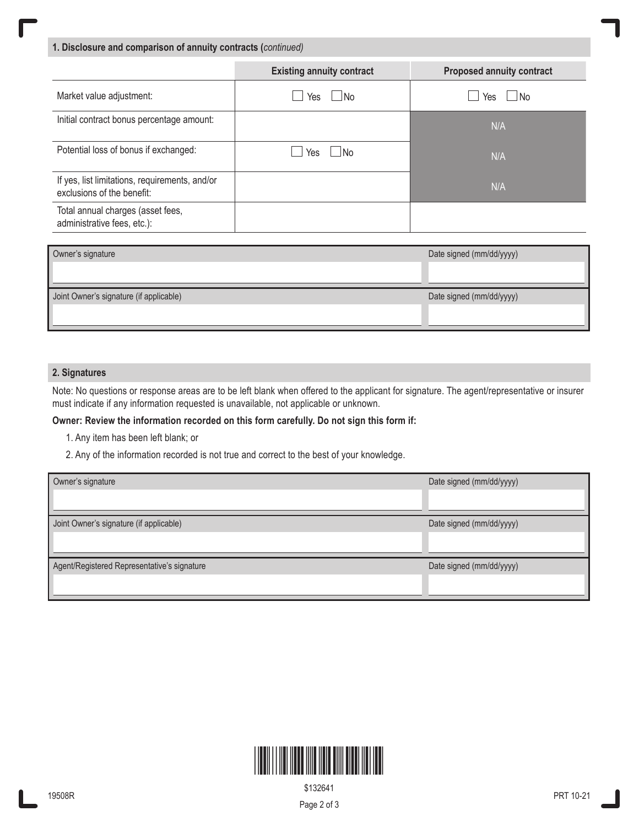**1. Disclosure and comparison of annuity contracts (***continued)*

|                                                                              | <b>Existing annuity contract</b> | <b>Proposed annuity contract</b> |
|------------------------------------------------------------------------------|----------------------------------|----------------------------------|
| Market value adjustment:                                                     | Yes<br>⊥No                       | $\Box$ No<br>Yes                 |
| Initial contract bonus percentage amount:                                    |                                  | N/A                              |
| Potential loss of bonus if exchanged:                                        | Yes<br>⊥No                       | N/A                              |
| If yes, list limitations, requirements, and/or<br>exclusions of the benefit: |                                  | N/A                              |
| Total annual charges (asset fees,<br>administrative fees, etc.):             |                                  |                                  |

| Owner's signature                       | Date signed (mm/dd/yyyy) |
|-----------------------------------------|--------------------------|
|                                         |                          |
| Joint Owner's signature (if applicable) | Date signed (mm/dd/yyyy) |
|                                         |                          |

## **2. Signatures**

Note: No questions or response areas are to be left blank when offered to the applicant for signature. The agent/representative or insurer must indicate if any information requested is unavailable, not applicable or unknown.

## **Owner: Review the information recorded on this form carefully. Do not sign this form if:**

- 1. Any item has been left blank; or
- 2. Any of the information recorded is not true and correct to the best of your knowledge.

| Owner's signature                           | Date signed (mm/dd/yyyy) |
|---------------------------------------------|--------------------------|
| Joint Owner's signature (if applicable)     | Date signed (mm/dd/yyyy) |
| Agent/Registered Representative's signature | Date signed (mm/dd/yyyy) |



\$132641

Page 2 of 3